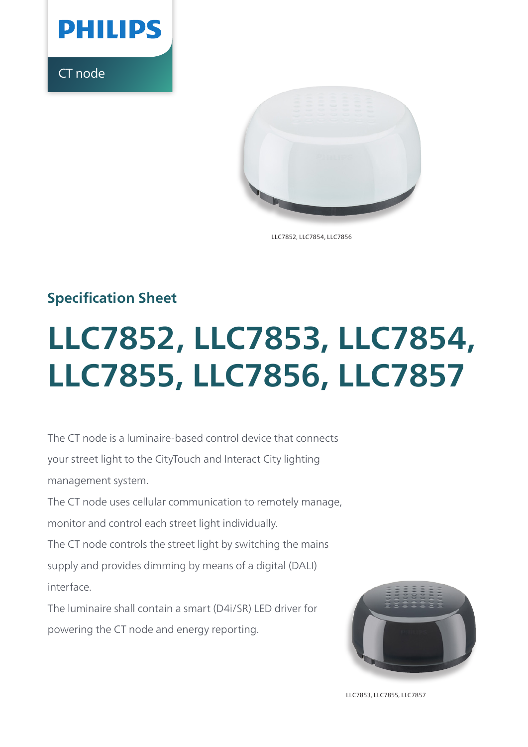

CT node



LLC7852, LLC7854, LLC7856

## **Specification Sheet**

# **LLC7852, LLC7853, LLC7854, LLC7855, LLC7856, LLC7857**

The CT node is a luminaire-based control device that connects your street light to the CityTouch and Interact City lighting management system.

The CT node uses cellular communication to remotely manage, monitor and control each street light individually.

The CT node controls the street light by switching the mains supply and provides dimming by means of a digital (DALI) interface.

The luminaire shall contain a smart (D4i/SR) LED driver for powering the CT node and energy reporting.



LLC7853, LLC7855, LLC7857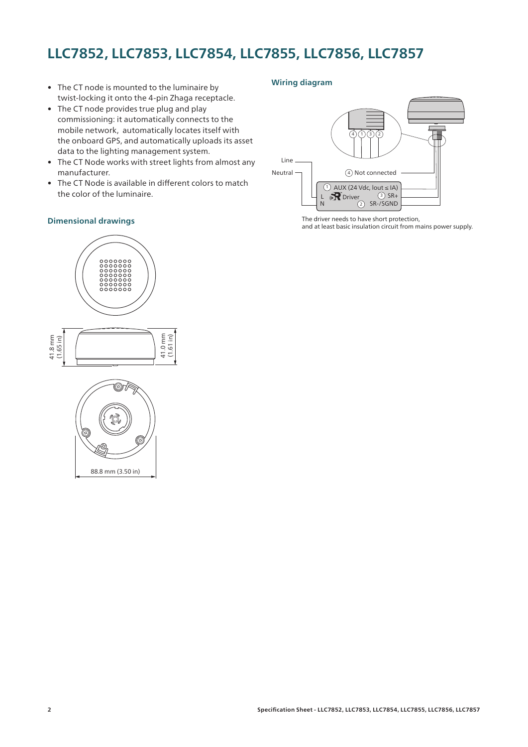## **LLC7852, LLC7853, LLC7854, LLC7855, LLC7856, LLC7857**

- The CT node is mounted to the luminaire by twist-locking it onto the 4-pin Zhaga receptacle.
- The CT node provides true plug and play commissioning: it automatically connects to the mobile network, automatically locates itself with the onboard GPS, and automatically uploads its asset data to the lighting management system.
- The CT Node works with street lights from almost any manufacturer.
- The CT Node is available in different colors to match the color of the luminaire.

#### **Dimensional drawings**

#### **Wiring diagram**



The driver needs to have short protection, and at least basic insulation circuit from mains power supply.





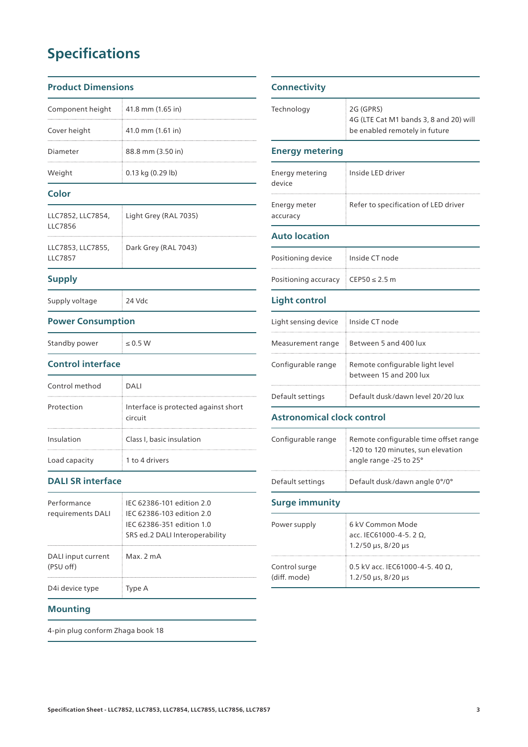# **Specifications**

#### **Product Dime**

| Component height  | $\pm$ 41.8 mm (1.65 in) |  |
|-------------------|-------------------------|--|
| Cover height      | 41.0 mm (1.61 in)       |  |
| Diameter          | 88.8 mm (3.50 in)       |  |
| Weight            | $0.13$ kg $(0.29$ lb)   |  |
| Color             |                         |  |
| LLC7852, LLC7854. | Light Grey (RAL 7035)   |  |

| LLC7856                      |                      |
|------------------------------|----------------------|
| LLC7853, LLC7855,<br>LLC7857 | Dark Grey (RAL 7043) |

#### **Supply**

Supply voltage 24 Vdc

#### **Power Consumption**

| Standby power | $\leq 0.5$ W |  |
|---------------|--------------|--|

#### **Control interface**

| Control method | DALI                                            |
|----------------|-------------------------------------------------|
| Protection     | Interface is protected against short<br>circuit |
| Insulation     | Class I, basic insulation                       |
| Load capacity  | 1 to 4 drivers                                  |

#### **DALI SR interface**

| Performance<br>requirements DALI | IEC 62386-101 edition 2.0<br>IEC 62386-103 edition 2.0<br>IEC 62386-351 edition 1.0<br>SRS ed.2 DALI Interoperability |
|----------------------------------|-----------------------------------------------------------------------------------------------------------------------|
| DALI input current<br>(PSU off)  | Max. 2 mA                                                                                                             |
| D4i device type                  | Type A                                                                                                                |

#### **Mounting**

4-pin plug conform Zhaga book 18

| ensions |                   | <b>Connectivity</b> |
|---------|-------------------|---------------------|
| 1ht     | 41.8 mm (1.65 in) | Technology          |
|         | 41.0 mm (1.61 in) |                     |

| Technology                        | 2G (GPRS)<br>4G (LTE Cat M1 bands 3, 8 and 20) will<br>be enabled remotely in future                  |
|-----------------------------------|-------------------------------------------------------------------------------------------------------|
| <b>Energy metering</b>            |                                                                                                       |
| Energy metering<br>device         | Inside LED driver                                                                                     |
| Energy meter<br>accuracy          | Refer to specification of LED driver                                                                  |
| <b>Auto location</b>              |                                                                                                       |
| Positioning device                | Inside CT node                                                                                        |
| Positioning accuracy              | $CEP50 \leq 2.5 m$                                                                                    |
| <b>Light control</b>              |                                                                                                       |
| Light sensing device              | Inside CT node                                                                                        |
| Measurement range                 | Between 5 and 400 lux                                                                                 |
| Configurable range                | Remote configurable light level<br>between 15 and 200 lux                                             |
| Default settings                  | Default dusk/dawn level 20/20 lux                                                                     |
| <b>Astronomical clock control</b> |                                                                                                       |
| Configurable range                | Remote configurable time offset range<br>-120 to 120 minutes, sun elevation<br>angle range -25 to 25° |
| Default settings                  | Default dusk/dawn angle 0°/0°                                                                         |
| <b>Surge immunity</b>             |                                                                                                       |

| Power supply  | 6 kV Common Mode<br>acc. IEC61000-4-5. 2 Ω,<br>$1.2/50 \,\mu s$ , 8/20 $\mu s$ |
|---------------|--------------------------------------------------------------------------------|
| Control surge | 0.5 kV acc. IEC61000-4-5. 40 $\Omega$ ,                                        |
| (diff. mode)  | $1.2/50 \,\mu s$ , 8/20 $\mu s$                                                |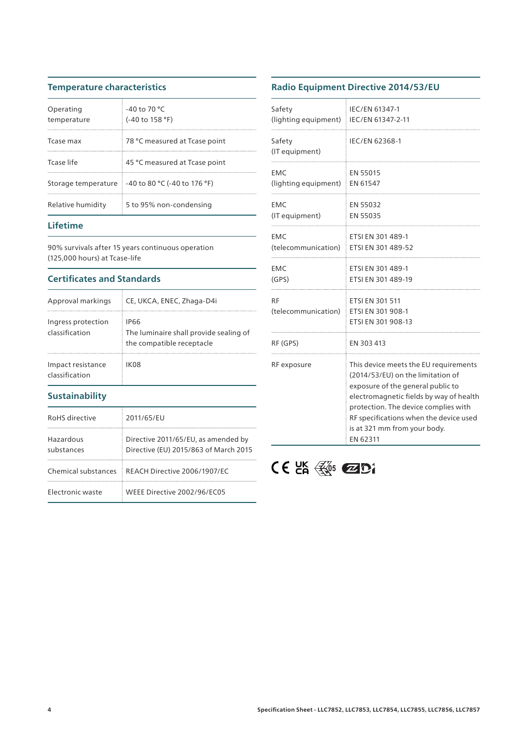### **Temperature characteristics**

| Operating<br>temperature | $-40$ to 70 °C<br>(-40 to 158 °F)                 |
|--------------------------|---------------------------------------------------|
| Tcase max                | 78 °C measured at Tcase point                     |
| Tcase life               | 45 °C measured at Tcase point                     |
|                          | Storage temperature 1-40 to 80 °C (-40 to 176 °F) |
| Relative humidity        | 5 to 95% non-condensing                           |

### **Lifetime**

90% survivals after 15 years continuous operation (125,000 hours) at Tcase-life

#### **Certificates and Standards**

| Approval markings                    | CE, UKCA, ENEC, Zhaga-D4i                                                   |
|--------------------------------------|-----------------------------------------------------------------------------|
| Ingress protection<br>classification | IP66<br>The luminaire shall provide sealing of<br>the compatible receptacle |
| Impact resistance<br>classification  | IK08                                                                        |

#### **Sustainability**

| RoHS directive          | 2011/65/EU                                                                   |
|-------------------------|------------------------------------------------------------------------------|
| Hazardous<br>substances | Directive 2011/65/EU, as amended by<br>Directive (EU) 2015/863 of March 2015 |
|                         | Chemical substances REACH Directive 2006/1907/EC                             |
| Electronic waste        | WFFF Directive 2002/96/FC05                                                  |

## **Radio Equipment Directive 2014/53/EU**

| Safety<br>(lighting equipment)   IEC/EN 61347-2-11 | IEC/EN 61347-1                                                                                                                                                                                                                                                                           |
|----------------------------------------------------|------------------------------------------------------------------------------------------------------------------------------------------------------------------------------------------------------------------------------------------------------------------------------------------|
| Safety<br>(IT equipment)                           | IEC/EN 62368-1                                                                                                                                                                                                                                                                           |
| EMC<br>(lighting equipment) EN 61547               | EN 55015                                                                                                                                                                                                                                                                                 |
| EMC<br>(IT equipment)                              | EN 55032<br>EN 55035                                                                                                                                                                                                                                                                     |
| EMC<br>(telecommunication) ETSI EN 301 489-52      | ETSI EN 301 489-1                                                                                                                                                                                                                                                                        |
| EMC<br>(GPS)                                       | ETSI EN 301 489-1<br>ETSI EN 301 489-19                                                                                                                                                                                                                                                  |
| RF<br>(telecommunication) ETSI EN 301 908-1        | ETSI EN 301 511<br>ETSI EN 301 908-13                                                                                                                                                                                                                                                    |
| RF (GPS)                                           | EN 303 413                                                                                                                                                                                                                                                                               |
| RF exposure                                        | This device meets the EU requirements<br>(2014/53/EU) on the limitation of<br>exposure of the general public to<br>electromagnetic fields by way of health<br>protection. The device complies with<br>RF specifications when the device used<br>is at 321 mm from your body.<br>EN 62311 |